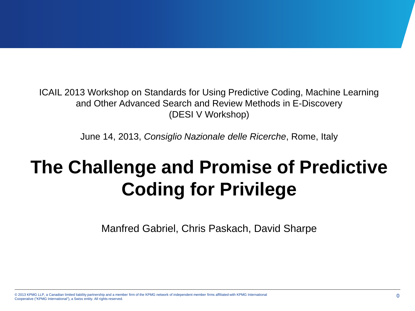ICAIL 2013 Workshop on Standards for Using Predictive Coding, Machine Learning and Other Advanced Search and Review Methods in E-Discovery (DESI V Workshop)

June 14, 2013, *Consiglio Nazionale delle Ricerche*, Rome, Italy

# **The Challenge and Promise of Predictive Coding for Privilege**

Manfred Gabriel, Chris Paskach, David Sharpe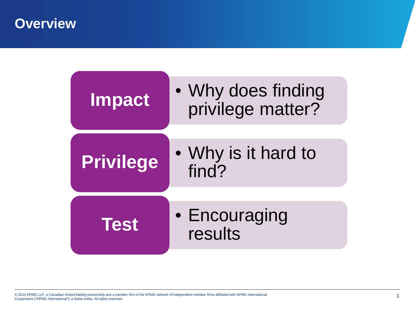**Overview**

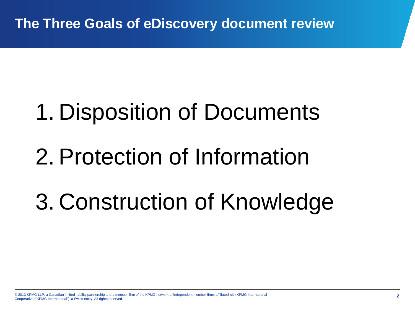# 1. Disposition of Documents

# 2. Protection of Information

# 3. Construction of Knowledge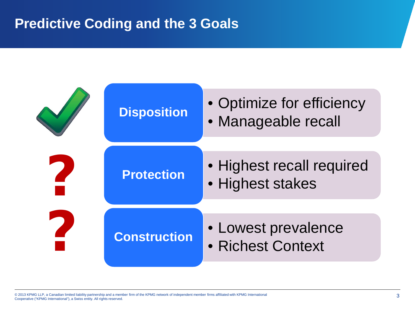#### **Predictive Coding and the 3 Goals**

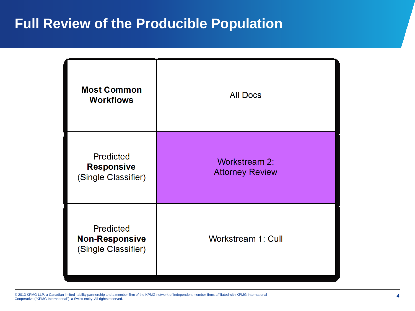#### **Full Review of the Producible Population**

| <b>Most Common</b><br><b>Workflows</b>                           | <b>All Docs</b>                                |
|------------------------------------------------------------------|------------------------------------------------|
| <b>Predicted</b><br><b>Responsive</b><br>(Single Classifier)     | <b>Workstream 2:</b><br><b>Attorney Review</b> |
| <b>Predicted</b><br><b>Non-Responsive</b><br>(Single Classifier) | <b>Workstream 1: Cull</b>                      |

© 2013 KPMG LLP, a Canadian limited liability partnership and a member firm of the KPMG network of independent member firms affiliated with KPMG International<br>Cooperative ("KPMG International"), a Swiss entity. All rights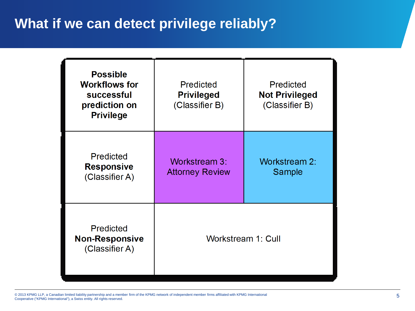### **What if we can detect privilege reliably?**

| <b>Possible</b><br><b>Workflows for</b><br>successful<br>prediction on<br><b>Privilege</b> | <b>Predicted</b><br><b>Privileged</b><br>(Classifier B) | <b>Predicted</b><br><b>Not Privileged</b><br>(Classifier B) |
|--------------------------------------------------------------------------------------------|---------------------------------------------------------|-------------------------------------------------------------|
| <b>Predicted</b><br><b>Responsive</b><br>(Classifier A)                                    | <b>Workstream 3:</b><br><b>Attorney Review</b>          | <b>Workstream 2:</b><br>Sample                              |
| <b>Predicted</b><br><b>Non-Responsive</b><br>(Classifier A)                                | Workstream 1: Cull                                      |                                                             |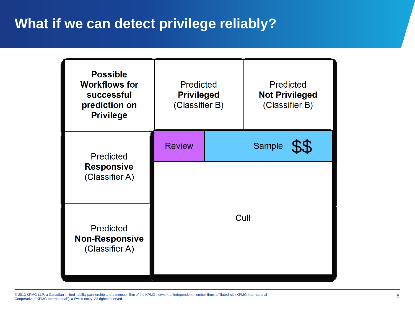### **What if we can detect privilege reliably?**



© 2013 KPMG LLP, a Canadian limited liability partnership and a member firm of the KPMG network of independent member firms affiliated with KPMG International<br>Cooperative ("KPMG International"), a Swiss entity. All rights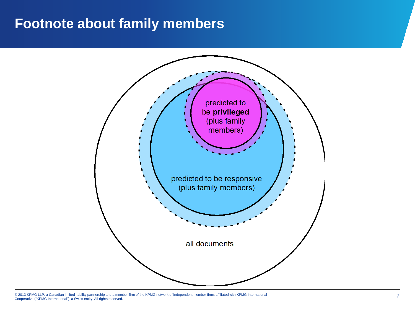#### **Footnote about family members**

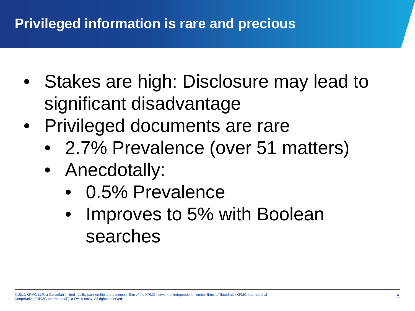## **Privileged information is rare and precious**

- Stakes are high: Disclosure may lead to significant disadvantage
- Privileged documents are rare
	- 2.7% Prevalence (over 51 matters)
	- Anecdotally:
		- 0.5% Prevalence
		- Improves to 5% with Boolean searches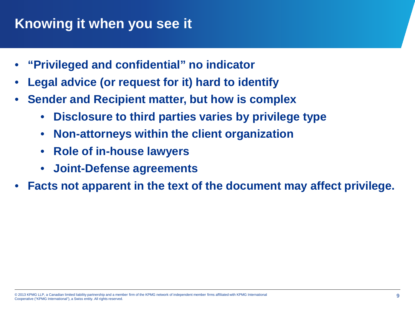## **Knowing it when you see it**

- **"Privileged and confidential" no indicator**
- **Legal advice (or request for it) hard to identify**
- **Sender and Recipient matter, but how is complex**
	- **Disclosure to third parties varies by privilege type**
	- **Non-attorneys within the client organization**
	- **Role of in-house lawyers**
	- **Joint-Defense agreements**
- **Facts not apparent in the text of the document may affect privilege.**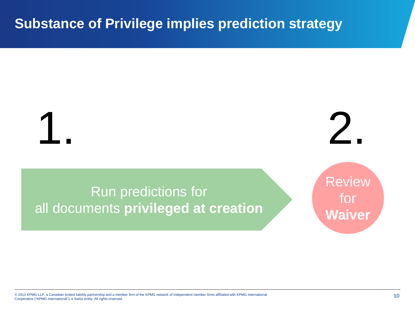#### **Substance of Privilege implies prediction strategy**

1. 2.

Run predictions for all documents **privileged at creation** Review for **Waiver**

© 2013 KPMG LLP, a Canadian limited liability partnership and a member firm of the KPMG network of independent member firms affiliated with KPMG International (2013) and the member firms affiliated with a conserved and the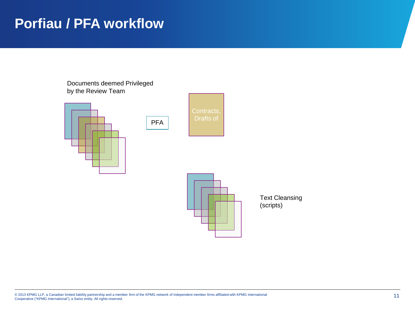#### **Porfiau / PFA workflow**

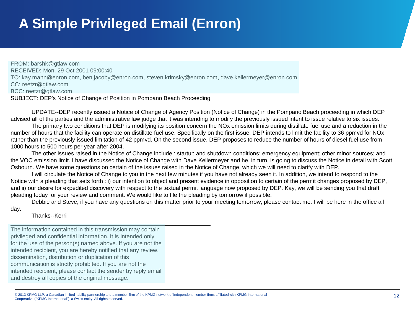## **A Simple Privileged Email (Enron)**

FROM: barshk@gtlaw.com RECEIVED: Mon, 29 Oct 2001 09:00:40 TO: kay.mann@enron.com, ben.jacoby@enron.com, steven.krimsky@enron.com, dave.kellermeyer@enron.com CC: reetzr@gtlaw.com BCC: reetzr@gtlaw.com SUBJECT: DEP's Notice of Change of Position in Pompano Beach Proceeding

UPDATE--DEP recently issued a Notice of Change of Agency Position (Notice of Change) in the Pompano Beach proceeding in which DEP advised all of the parties and the administrative law judge that it was intending to modify the previously issued intent to issue relative to six issues.

The primary two conditions that DEP is modifying its position concern the NOx emission limits during distillate fuel use and a reduction in the number of hours that the facility can operate on distillate fuel use. Specifically on the first issue, DEP intends to limit the facility to 36 ppmvd for NOx rather than the previously issued limitation of 42 ppmvd. On the second issue, DEP proposes to reduce the number of hours of diesel fuel use from 1000 hours to 500 hours per year after 2004.

The other issues raised in the Notice of Change include : startup and shutdown conditions; emergency equipment; other minor sources; and the VOC emission limit. I have discussed the Notice of Change with Dave Kellermeyer and he, in turn, is going to discuss the Notice in detail with Scott Osbourn. We have some questions on certain of the issues raised in the Notice of Change, which we will need to clarify with DEP.

I will circulate the Notice of Change to you in the next few minutes if you have not already seen it. In addition, we intend to respond to the Notice with a pleading that sets forth : i) our intention to object and present evidence in opposition to certain of the permit changes proposed by DEP, and ii) our desire for expedited discovery with respect to the textual permit language now proposed by DEP. Kay, we will be sending you that draft pleading today for your review and comment. We would like to file the pleading by tomorrow if possible.

Debbie and Steve, if you have any questions on this matter prior to your meeting tomorrow, please contact me. I will be here in the office all day.

Thanks--Kerri

The information contained in this transmission may contain privileged and confidential information. It is intended only for the use of the person(s) named above. If you are not the intended recipient, you are hereby notified that any review, dissemination, distribution or duplication of this communication is strictly prohibited. If you are not the intended recipient, please contact the sender by reply email and destroy all copies of the original message.

\_\_\_\_\_\_\_\_\_\_\_\_\_\_\_\_\_\_\_\_\_\_\_\_\_\_\_\_\_\_\_\_\_\_\_\_\_\_\_\_\_\_\_\_\_\_\_\_\_\_\_\_\_\_\_\_\_\_\_\_\_\_\_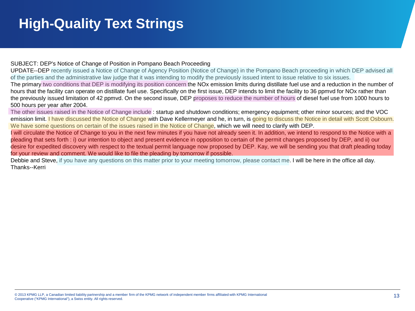## **High-Quality Text Strings**

#### SUBJECT: DEP's Notice of Change of Position in Pompano Beach Proceeding

UPDATE--DEP recently issued a Notice of Change of Agency Position (Notice of Change) in the Pompano Beach proceeding in which DEP advised all of the parties and the administrative law judge that it was intending to modify the previously issued intent to issue relative to six issues.

The primary two conditions that DEP is modifying its position concern the NOx emission limits during distillate fuel use and a reduction in the number of hours that the facility can operate on distillate fuel use. Specifically on the first issue, DEP intends to limit the facility to 36 ppmvd for NOx rather than the previously issued limitation of 42 ppmvd. On the second issue, DEP proposes to reduce the number of hours of diesel fuel use from 1000 hours to 500 hours per year after 2004.

The other issues raised in the Notice of Change include : startup and shutdown conditions; emergency equipment; other minor sources; and the VOC emission limit. I have discussed the Notice of Change with Dave Kellermeyer and he, in turn, is going to discuss the Notice in detail with Scott Osbourn. We have some questions on certain of the issues raised in the Notice of Change, which we will need to clarify with DEP.

I will circulate the Notice of Change to you in the next few minutes if you have not already seen it. In addition, we intend to respond to the Notice with a pleading that sets forth : i) our intention to object and present evidence in opposition to certain of the permit changes proposed by DEP, and ii) our desire for expedited discovery with respect to the textual permit language now proposed by DEP. Kay, we will be sending you that draft pleading today for your review and comment. We would like to file the pleading by tomorrow if possible.

Debbie and Steve, if you have any questions on this matter prior to your meeting tomorrow, please contact me. I will be here in the office all day. Thanks--Kerri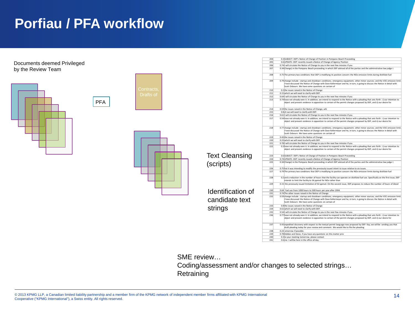## **Porfiau / PFA workflow**

Documents deemed Privileged by the Review Team







|                       | 204 | 0.3 SUBJECT: DEP's Notice of Change of Position in Pompano Beach Proceeding                                                                                                                                                                                                                                       |
|-----------------------|-----|-------------------------------------------------------------------------------------------------------------------------------------------------------------------------------------------------------------------------------------------------------------------------------------------------------------------|
|                       | 205 | 0.6 UPDATE--DEP recently issued a Notice of Change of Agency Position                                                                                                                                                                                                                                             |
|                       | 206 | 0.74 will circulate the Notice of Change to you in the next few minutes if you                                                                                                                                                                                                                                    |
|                       | 207 | 0.34 Change) in the Pompano Beach proceeding in which DEP advised all of the parties and the administrative law judge t                                                                                                                                                                                           |
|                       | 208 | 0.75 The primary two conditions that DEP is modifying its position concern the NOx emission limits during distillate fuel                                                                                                                                                                                         |
|                       | 209 | 0.79 change include : startup and shutdown conditions; emergency equipment; other minor sources; and the VOC emission limit.<br>I have discussed the Notice of Change with Dave Kellermeyer and he, in turn, is going to discuss the Notice in detail with<br>Scott Osbourn. We have some questions on certain of |
|                       | 210 | 0.2 the issues raised in the Notice of Change                                                                                                                                                                                                                                                                     |
|                       | 211 | 0.15 which we will need to clarify with DEP.                                                                                                                                                                                                                                                                      |
|                       | 212 | 0.64 will circulate the Notice of Change to you in the next few minutes if you                                                                                                                                                                                                                                    |
|                       | 213 | 0.74 have not already seen it. In addition, we intend to respond to the Notice with a pleading that sets forth : i) our intention to<br>object and present evidence in opposition to certain of the permit changes proposed by DEP, and ii) our desire for                                                        |
|                       | 214 | 0.59 the issues raised in the Notice of Change, whi                                                                                                                                                                                                                                                               |
|                       | 215 | 0.8 ch we will need to clarify with DEP.                                                                                                                                                                                                                                                                          |
|                       | 216 | 0.61 I will circulate the Notice of Change to you in the next few minutes if you                                                                                                                                                                                                                                  |
|                       | 217 | 0.54 have not already seen it. In addition, we intend to respond to the Notice with a pleading that sets forth : i) our intention to<br>object and present evidence in opposition to certain of the permit changes proposed by DEP, and ii) our desire for                                                        |
|                       | 218 | 0.77 change include : startup and shutdown conditions; emergency equipment; other minor sources; and the VOC emission limit.<br>I have discussed the Notice of Change with Dave Kellermeyer and he, in turn, is going to discuss the Notice in detail with<br>Scott Osbourn. We have some questions on certain of |
|                       | 219 | 0.43 the issues raised in the Notice of Change                                                                                                                                                                                                                                                                    |
|                       | 220 | 0.23 which we will need to clarify with DEP.                                                                                                                                                                                                                                                                      |
|                       | 221 | 0.78 will circulate the Notice of Change to you in the next few minutes if you                                                                                                                                                                                                                                    |
|                       | 222 | 0.3 have not already seen it. In addition, we intend to respond to the Notice with a pleading that sets forth : i) our intention to<br>object and present evidence in opposition to certain of the permit changes proposed by DEP, and ii) our desire for                                                         |
| <b>Text Cleansing</b> | 223 | 0.6 SUBJECT: DEP's Notice of Change of Position in Pompano Beach Proceeding                                                                                                                                                                                                                                       |
|                       | 224 | 0.74 UPDATE -- DEP recently issued a Notice of Change of Agency Position                                                                                                                                                                                                                                          |
| (scripts)             | 225 | 0.34 Change) in the Pompano Beach proceeding in which DEP advised all of the parties and the administrative law judge t                                                                                                                                                                                           |
|                       | 226 | 0.75 hat it was intending to modify the previously issued intent to issue relative to six issues.                                                                                                                                                                                                                 |
|                       | 227 | 0.79 The primary two conditions that DEP is modifying its position concern the NOx emission limits during distillate fuel                                                                                                                                                                                         |
|                       | 228 | 0.2 and a reduction in the number of hours that the facility can operate on distillate fuel use. Specifically on the first issue, DEP<br>intends to limit the facility to 36 ppmvd for NOx rather than                                                                                                            |
|                       | 229 | 0.15 the previously issued limitation of 42 ppmvd. On the second issue, DEP proposes to reduce the number of hours of diesel                                                                                                                                                                                      |
| Identification of     | 230 | 0.64 fuel use from 1000 hours to 500 hours per year after 2004.                                                                                                                                                                                                                                                   |
|                       | 231 | 0.74 The other issues raised in the Notice of Change                                                                                                                                                                                                                                                              |
| candidate text        | 232 | 0.59 change include : startup and shutdown conditions; emergency equipment; other minor sources; and the VOC emission limit<br>I have discussed the Notice of Change with Dave Kellermeyer and he, in turn, is going to discuss the Notice in detail with<br>Scott Osbourn. We have some questions on certain of  |
|                       | 233 | 0.8 the issues raised in the Notice of Change                                                                                                                                                                                                                                                                     |
| strings               | 234 | 0.61 which we will need to clarify with DEP.                                                                                                                                                                                                                                                                      |
|                       | 235 | 0.54 I will circulate the Notice of Change to you in the next few minutes if you                                                                                                                                                                                                                                  |
|                       | 236 | 0.77 have not already seen it. In addition, we intend to respond to the Notice with a pleading that sets forth : i) our intention to<br>object and present evidence in opposition to certain of the permit changes proposed by DEP, and ii) our desire for                                                        |
|                       | 237 | 0.43 expedited discovery with respect to the textual permit language now proposed by DEP. Kay, we will be sending you that<br>draft pleading today for your review and comment. We would like to file the pleading                                                                                                |
|                       | 238 | 0.23 omorrow if possible.                                                                                                                                                                                                                                                                                         |
|                       | 239 | 0.78 Debbie and Steve, if you have any questions on this matter prio                                                                                                                                                                                                                                              |
|                       | 240 | 0.3 to your meeting tomorrow, please contact                                                                                                                                                                                                                                                                      |
|                       | 241 | 0.6 me. I will be here in the office all day.                                                                                                                                                                                                                                                                     |

SME review…

Coding/assessment and/or changes to selected strings… **Retraining**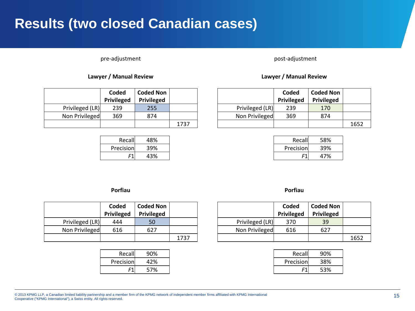#### **Results (two closed Canadian cases)**

#### pre-adjustment pre-adjustment post-adjustment

#### **Lawyer / Manual Review Lawyer / Manual Review**

|                 | Coded<br>Privileged | <b>Coded Non</b><br>Privileged |      |                 | Coded<br>Privileged | Coded I<br>Privile |
|-----------------|---------------------|--------------------------------|------|-----------------|---------------------|--------------------|
| Privileged (LR) | 239                 | 255                            |      | Privileged (LR) | 239                 | 170                |
| Non Privileged  | 369                 | 874                            |      | Non Privileged  | 369                 | 874                |
|                 |                     |                                | 1737 |                 |                     |                    |

|           | Recall<br>48% | Recall    | 58% |
|-----------|---------------|-----------|-----|
| Precision | 39%           | Precision | 39% |
| E1        | 43%           | F1        | 47% |

|      |                 | Coded<br>Privileged | <b>Coded Non</b><br>Privileged |      |
|------|-----------------|---------------------|--------------------------------|------|
|      | Privileged (LR) | 239                 | 170                            |      |
|      | Non Privileged  | 369                 | 874                            |      |
| 1737 |                 |                     |                                | 1652 |

| Recall  | 48% | Recall    |
|---------|-----|-----------|
| cision  | 39% | Precision |
| г1<br>T | 43% | F1        |

#### **Porfiau Porfiau**

|                 | Coded<br>Privileged | <b>Coded Non</b><br>Privileged |      |                 | Coded<br>Privileged | Coded I<br>Privile |
|-----------------|---------------------|--------------------------------|------|-----------------|---------------------|--------------------|
| Privileged (LR) | 444                 | 50                             |      | Privileged (LR) | 370                 | 39                 |
| Non Privileged  | 616                 | 627                            |      | Non Privileged  | 616                 | 627                |
|                 |                     |                                | 1737 |                 |                     |                    |

| Recall |
|--------|
| 42%    |
| 57%    |
|        |

|      |                 | Coded      | <b>Coded Non</b> |      |
|------|-----------------|------------|------------------|------|
|      |                 | Privileged | Privileged       |      |
|      | Privileged (LR) | 370        | 39               |      |
|      | Non Privileged  | 616        | 627              |      |
| 1737 |                 |            |                  | 1652 |

| Recall    | 90% | Recall    | 90% |
|-----------|-----|-----------|-----|
| cision    | 42% | Precision | 38% |
| г1<br>۰ι. | 57% | F1        | 53% |